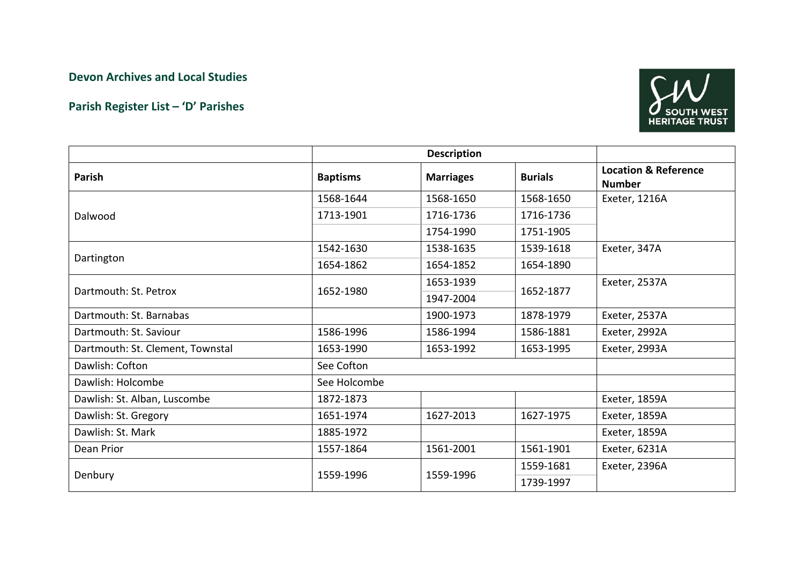## Devon Archives and Local Studies

## Parish Register List – 'D' Parishes



|                                  | <b>Description</b> |                  |                |                                                  |
|----------------------------------|--------------------|------------------|----------------|--------------------------------------------------|
| Parish                           | <b>Baptisms</b>    | <b>Marriages</b> | <b>Burials</b> | <b>Location &amp; Reference</b><br><b>Number</b> |
| Dalwood                          | 1568-1644          | 1568-1650        | 1568-1650      | Exeter, 1216A                                    |
|                                  | 1713-1901          | 1716-1736        | 1716-1736      |                                                  |
|                                  |                    | 1754-1990        | 1751-1905      |                                                  |
| Dartington                       | 1542-1630          | 1538-1635        | 1539-1618      | Exeter, 347A                                     |
|                                  | 1654-1862          | 1654-1852        | 1654-1890      |                                                  |
| Dartmouth: St. Petrox            | 1652-1980          | 1653-1939        | 1652-1877      | Exeter, 2537A                                    |
|                                  |                    | 1947-2004        |                |                                                  |
| Dartmouth: St. Barnabas          |                    | 1900-1973        | 1878-1979      | Exeter, 2537A                                    |
| Dartmouth: St. Saviour           | 1586-1996          | 1586-1994        | 1586-1881      | Exeter, 2992A                                    |
| Dartmouth: St. Clement, Townstal | 1653-1990          | 1653-1992        | 1653-1995      | Exeter, 2993A                                    |
| Dawlish: Cofton                  | See Cofton         |                  |                |                                                  |
| Dawlish: Holcombe                | See Holcombe       |                  |                |                                                  |
| Dawlish: St. Alban, Luscombe     | 1872-1873          |                  |                | Exeter, 1859A                                    |
| Dawlish: St. Gregory             | 1651-1974          | 1627-2013        | 1627-1975      | Exeter, 1859A                                    |
| Dawlish: St. Mark                | 1885-1972          |                  |                | Exeter, 1859A                                    |
| Dean Prior                       | 1557-1864          | 1561-2001        | 1561-1901      | Exeter, 6231A                                    |
| Denbury                          | 1559-1996          | 1559-1996        | 1559-1681      | Exeter, 2396A                                    |
|                                  |                    |                  | 1739-1997      |                                                  |